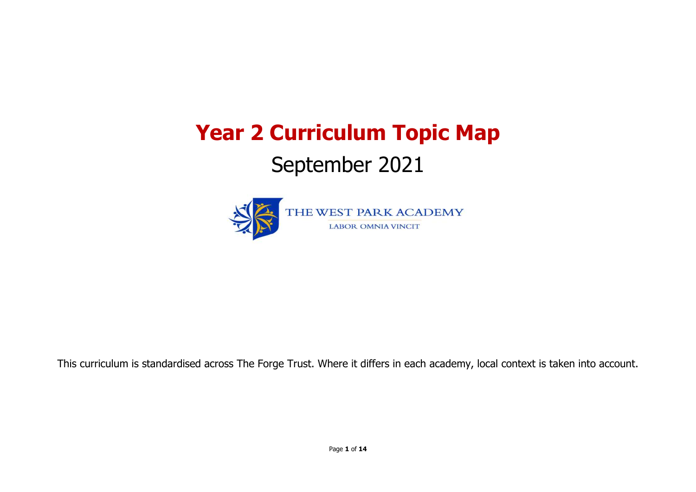Page **1** of **14**

# **Year 2 Curriculum Topic Map** September 2021



This curriculum is standardised across The Forge Trust. Where it differs in each academy, local context is taken into account.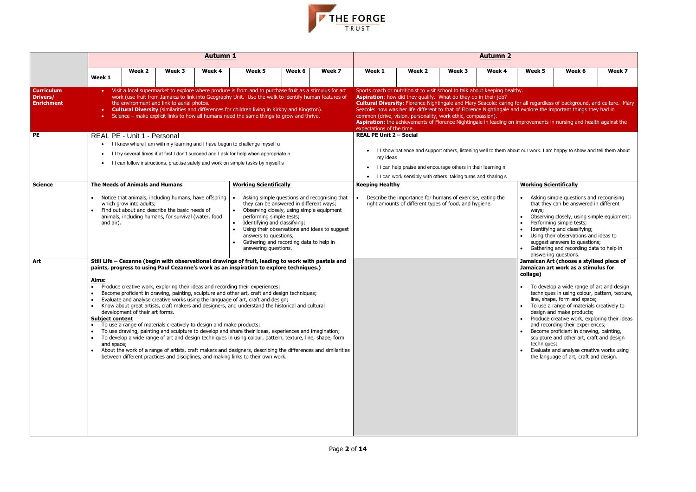

|                                                           |                                                      |                                                                                                                                                                                                                               |        | <b>Autumn 1</b>                                                                                                                                                                                                                                                                                                                                                                                                                                                                                                                                                                                                                                                                                                                                                                                                                                                                                                                                                                                                                                                           |                                                                                                                                            |                                                                                                                                                                                 |                                               |                                            |                                                                                                                                                                                                                                                                                                                                                                                                                                                                                                                                                                                  |        | <b>Autumn 2</b> |                                                                               |                                                                                                                                                                                                                                                                                                                                                                                                                                                                                                                                                            |        |
|-----------------------------------------------------------|------------------------------------------------------|-------------------------------------------------------------------------------------------------------------------------------------------------------------------------------------------------------------------------------|--------|---------------------------------------------------------------------------------------------------------------------------------------------------------------------------------------------------------------------------------------------------------------------------------------------------------------------------------------------------------------------------------------------------------------------------------------------------------------------------------------------------------------------------------------------------------------------------------------------------------------------------------------------------------------------------------------------------------------------------------------------------------------------------------------------------------------------------------------------------------------------------------------------------------------------------------------------------------------------------------------------------------------------------------------------------------------------------|--------------------------------------------------------------------------------------------------------------------------------------------|---------------------------------------------------------------------------------------------------------------------------------------------------------------------------------|-----------------------------------------------|--------------------------------------------|----------------------------------------------------------------------------------------------------------------------------------------------------------------------------------------------------------------------------------------------------------------------------------------------------------------------------------------------------------------------------------------------------------------------------------------------------------------------------------------------------------------------------------------------------------------------------------|--------|-----------------|-------------------------------------------------------------------------------|------------------------------------------------------------------------------------------------------------------------------------------------------------------------------------------------------------------------------------------------------------------------------------------------------------------------------------------------------------------------------------------------------------------------------------------------------------------------------------------------------------------------------------------------------------|--------|
|                                                           | Week 1                                               | Week 2                                                                                                                                                                                                                        | Week 3 | Week 4                                                                                                                                                                                                                                                                                                                                                                                                                                                                                                                                                                                                                                                                                                                                                                                                                                                                                                                                                                                                                                                                    | Week 5                                                                                                                                     | Week 6                                                                                                                                                                          | Week 7                                        | Week 1                                     | Week 2                                                                                                                                                                                                                                                                                                                                                                                                                                                                                                                                                                           | Week 3 | Week 4          | Week 5                                                                        | Week 6                                                                                                                                                                                                                                                                                                                                                                                                                                                                                                                                                     | Week 7 |
| <b>Curriculum</b><br><b>Drivers/</b><br><b>Enrichment</b> | $\bullet$                                            | the environment and link to aerial photos.                                                                                                                                                                                    |        | Visit a local supermarket to explore where produce is from and to purchase fruit as a stimulus for art<br>work (use fruit from Jamaica to link into Geography Unit. Use the walk to identify human features of<br><b>Cultural Diversity</b> (similarities and differences for children living in Kirkby and Kingston).<br>Science – make explicit links to how all humans need the same things to grow and thrive.                                                                                                                                                                                                                                                                                                                                                                                                                                                                                                                                                                                                                                                        |                                                                                                                                            |                                                                                                                                                                                 |                                               | expectations of the time.                  | Sports coach or nutritionist to visit school to talk about keeping healthy.<br>Aspiration: how did they qualify. What do they do in their job?<br>Cultural Diversity: Florence Nightingale and Mary Seacole: caring for all regardless of background, and culture. Mary<br>Seacole: how was her life different to that of Florence Nightingale and explore the important things they had in<br>common (drive, vision, personality, work ethic, compassion).<br>Aspiration: the achievements of Florence Nightingale in leading on improvements in nursing and health against the |        |                 |                                                                               |                                                                                                                                                                                                                                                                                                                                                                                                                                                                                                                                                            |        |
| PE                                                        | $\bullet$                                            | REAL PE - Unit 1 - Personal                                                                                                                                                                                                   |        | I I know where I am with my learning and I have begun to challenge myself u<br>I I try several times if at first I don't succeed and I ask for help when appropriate n<br>• I can follow instructions, practise safely and work on simple tasks by myself s                                                                                                                                                                                                                                                                                                                                                                                                                                                                                                                                                                                                                                                                                                                                                                                                               |                                                                                                                                            |                                                                                                                                                                                 |                                               | <b>REAL PE Unit 2 - Social</b><br>my ideas | I I show patience and support others, listening well to them about our work. I am happy to show and tell them about<br>I I can help praise and encourage others in their learning n<br>I I can work sensibly with others, taking turns and sharing s                                                                                                                                                                                                                                                                                                                             |        |                 |                                                                               |                                                                                                                                                                                                                                                                                                                                                                                                                                                                                                                                                            |        |
| <b>Science</b>                                            | and air).                                            | The Needs of Animals and Humans<br>Notice that animals, including humans, have offspring<br>which grow into adults;<br>Find out about and describe the basic needs of<br>animals, including humans, for survival (water, food |        |                                                                                                                                                                                                                                                                                                                                                                                                                                                                                                                                                                                                                                                                                                                                                                                                                                                                                                                                                                                                                                                                           | <b>Working Scientifically</b><br>performing simple tests;<br>Identifying and classifying;<br>answers to questions;<br>answering questions. | Asking simple questions and recognising that<br>they can be answered in different ways;<br>Observing closely, using simple equipment<br>Gathering and recording data to help in | Using their observations and ideas to suggest | <b>Keeping Healthy</b>                     | Describe the importance for humans of exercise, eating the<br>right amounts of different types of food, and hygiene.                                                                                                                                                                                                                                                                                                                                                                                                                                                             |        |                 | <b>Working Scientifically</b><br>ways;<br>$\bullet$<br>$\bullet$<br>$\bullet$ | Asking simple questions and recognising<br>that they can be answered in different<br>Observing closely, using simple equipment;<br>Performing simple tests;<br>Identifying and classifying;<br>Using their observations and ideas to<br>suggest answers to questions;<br>Gathering and recording data to help in<br>answering questions.                                                                                                                                                                                                                   |        |
| Art                                                       | <u>Aims:</u><br><b>Subject content</b><br>and space; | development of their art forms.                                                                                                                                                                                               |        | Still Life - Cezanne (begin with observational drawings of fruit, leading to work with pastels and<br>paints, progress to using Paul Cezanne's work as an inspiration to explore techniques.)<br>Produce creative work, exploring their ideas and recording their experiences;<br>Become proficient in drawing, painting, sculpture and other art, craft and design techniques;<br>Evaluate and analyse creative works using the language of art, craft and design;<br>Know about great artists, craft makers and designers, and understand the historical and cultural<br>To use a range of materials creatively to design and make products;<br>To use drawing, painting and sculpture to develop and share their ideas, experiences and imagination;<br>To develop a wide range of art and design techniques in using colour, pattern, texture, line, shape, form<br>About the work of a range of artists, craft makers and designers, describing the differences and similarities<br>between different practices and disciplines, and making links to their own work. |                                                                                                                                            |                                                                                                                                                                                 |                                               |                                            |                                                                                                                                                                                                                                                                                                                                                                                                                                                                                                                                                                                  |        |                 | collage)<br>$\bullet$<br>$\bullet$<br>techniques;                             | Jamaican Art (choose a stylised piece of<br>Jamaican art work as a stimulus for<br>To develop a wide range of art and design<br>techniques in using colour, pattern, texture,<br>line, shape, form and space;<br>To use a range of materials creatively to<br>design and make products;<br>Produce creative work, exploring their ideas<br>and recording their experiences;<br>Become proficient in drawing, painting,<br>sculpture and other art, craft and design<br>Evaluate and analyse creative works using<br>the language of art, craft and design. |        |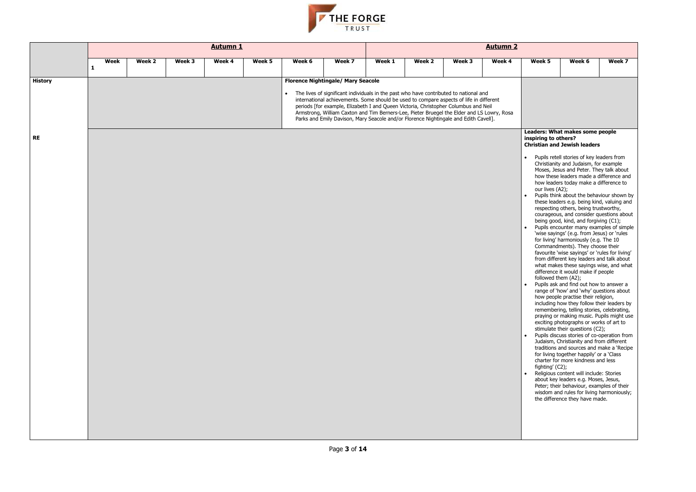

|                             |   |      |        |        | <b>Autumn 1</b> |        |        |                                                                                                                                                                                                                                                                                                                                                                                                                                                                                                            |        |        |        | <b>Autumn 2</b> |                                                                                   |                                                                                                                                                                                                                                                                                                                                                                                                                                                                                                                                                                                                                                                                                                                                                                                                                                                                                                                                                                                                                                                                                                                                                                                                                                                                                                                                                                                                                                                                                                                                                                                                                                                   |        |
|-----------------------------|---|------|--------|--------|-----------------|--------|--------|------------------------------------------------------------------------------------------------------------------------------------------------------------------------------------------------------------------------------------------------------------------------------------------------------------------------------------------------------------------------------------------------------------------------------------------------------------------------------------------------------------|--------|--------|--------|-----------------|-----------------------------------------------------------------------------------|---------------------------------------------------------------------------------------------------------------------------------------------------------------------------------------------------------------------------------------------------------------------------------------------------------------------------------------------------------------------------------------------------------------------------------------------------------------------------------------------------------------------------------------------------------------------------------------------------------------------------------------------------------------------------------------------------------------------------------------------------------------------------------------------------------------------------------------------------------------------------------------------------------------------------------------------------------------------------------------------------------------------------------------------------------------------------------------------------------------------------------------------------------------------------------------------------------------------------------------------------------------------------------------------------------------------------------------------------------------------------------------------------------------------------------------------------------------------------------------------------------------------------------------------------------------------------------------------------------------------------------------------------|--------|
|                             | 1 | Week | Week 2 | Week 3 | Week 4          | Week 5 | Week 6 | Week 7                                                                                                                                                                                                                                                                                                                                                                                                                                                                                                     | Week 1 | Week 2 | Week 3 | Week 4          | Week 5                                                                            | Week 6                                                                                                                                                                                                                                                                                                                                                                                                                                                                                                                                                                                                                                                                                                                                                                                                                                                                                                                                                                                                                                                                                                                                                                                                                                                                                                                                                                                                                                                                                                                                                                                                                                            | Week 7 |
| <b>History</b><br><b>RE</b> |   |      |        |        |                 |        |        | <b>Florence Nightingale/ Mary Seacole</b><br>The lives of significant individuals in the past who have contributed to national and<br>international achievements. Some should be used to compare aspects of life in different<br>periods [for example, Elizabeth I and Queen Victoria, Christopher Columbus and Neil<br>Armstrong, William Caxton and Tim Berners-Lee, Pieter Bruegel the Elder and LS Lowry, Rosa<br>Parks and Emily Davison, Mary Seacole and/or Florence Nightingale and Edith Cavell]. |        |        |        |                 | inspiring to others?<br>our lives (A2);<br>followed them (A2);<br>fighting' (C2); | Leaders: What makes some people<br><b>Christian and Jewish leaders</b><br>Pupils retell stories of key leaders from<br>Christianity and Judaism, for example<br>Moses, Jesus and Peter. They talk about<br>how these leaders made a difference an<br>how leaders today make a difference to<br>Pupils think about the behaviour shown<br>these leaders e.g. being kind, valuing ar<br>respecting others, being trustworthy,<br>courageous, and consider questions abo<br>being good, kind, and forgiving (C1);<br>Pupils encounter many examples of sim<br>'wise sayings' (e.g. from Jesus) or 'rules<br>for living' harmoniously (e.g. The 10<br>Commandments). They choose their<br>favourite 'wise sayings' or 'rules for livin<br>from different key leaders and talk abou<br>what makes these sayings wise, and wh<br>difference it would make if people<br>Pupils ask and find out how to answer a<br>range of 'how' and 'why' questions abou<br>how people practise their religion,<br>including how they follow their leaders b<br>remembering, telling stories, celebrating<br>praying or making music. Pupils might u<br>exciting photographs or works of art to<br>stimulate their questions (C2);<br>Pupils discuss stories of co-operation fro<br>Judaism, Christianity and from different<br>traditions and sources and make a 'Reci<br>for living together happily' or a 'Class<br>charter for more kindness and less<br>Religious content will include: Stories<br>about key leaders e.g. Moses, Jesus,<br>Peter; their behaviour, examples of their<br>wisdom and rules for living harmoniousl<br>the difference they have made. |        |
|                             |   |      |        |        |                 |        |        |                                                                                                                                                                                                                                                                                                                                                                                                                                                                                                            |        |        |        |                 |                                                                                   |                                                                                                                                                                                                                                                                                                                                                                                                                                                                                                                                                                                                                                                                                                                                                                                                                                                                                                                                                                                                                                                                                                                                                                                                                                                                                                                                                                                                                                                                                                                                                                                                                                                   |        |

| Week 5                                                                                                                                                                                                                                                                                                                                                                                                                                                                                                                                                                                                                                                                                               | Week 6                                                                                | Week 7 |  |  |  |  |  |  |  |  |  |
|------------------------------------------------------------------------------------------------------------------------------------------------------------------------------------------------------------------------------------------------------------------------------------------------------------------------------------------------------------------------------------------------------------------------------------------------------------------------------------------------------------------------------------------------------------------------------------------------------------------------------------------------------------------------------------------------------|---------------------------------------------------------------------------------------|--------|--|--|--|--|--|--|--|--|--|
|                                                                                                                                                                                                                                                                                                                                                                                                                                                                                                                                                                                                                                                                                                      |                                                                                       |        |  |  |  |  |  |  |  |  |  |
|                                                                                                                                                                                                                                                                                                                                                                                                                                                                                                                                                                                                                                                                                                      |                                                                                       |        |  |  |  |  |  |  |  |  |  |
|                                                                                                                                                                                                                                                                                                                                                                                                                                                                                                                                                                                                                                                                                                      |                                                                                       |        |  |  |  |  |  |  |  |  |  |
|                                                                                                                                                                                                                                                                                                                                                                                                                                                                                                                                                                                                                                                                                                      |                                                                                       |        |  |  |  |  |  |  |  |  |  |
|                                                                                                                                                                                                                                                                                                                                                                                                                                                                                                                                                                                                                                                                                                      |                                                                                       |        |  |  |  |  |  |  |  |  |  |
|                                                                                                                                                                                                                                                                                                                                                                                                                                                                                                                                                                                                                                                                                                      |                                                                                       |        |  |  |  |  |  |  |  |  |  |
|                                                                                                                                                                                                                                                                                                                                                                                                                                                                                                                                                                                                                                                                                                      | Leaders: What makes some people                                                       |        |  |  |  |  |  |  |  |  |  |
|                                                                                                                                                                                                                                                                                                                                                                                                                                                                                                                                                                                                                                                                                                      |                                                                                       |        |  |  |  |  |  |  |  |  |  |
|                                                                                                                                                                                                                                                                                                                                                                                                                                                                                                                                                                                                                                                                                                      |                                                                                       |        |  |  |  |  |  |  |  |  |  |
|                                                                                                                                                                                                                                                                                                                                                                                                                                                                                                                                                                                                                                                                                                      |                                                                                       |        |  |  |  |  |  |  |  |  |  |
|                                                                                                                                                                                                                                                                                                                                                                                                                                                                                                                                                                                                                                                                                                      |                                                                                       |        |  |  |  |  |  |  |  |  |  |
|                                                                                                                                                                                                                                                                                                                                                                                                                                                                                                                                                                                                                                                                                                      |                                                                                       |        |  |  |  |  |  |  |  |  |  |
|                                                                                                                                                                                                                                                                                                                                                                                                                                                                                                                                                                                                                                                                                                      |                                                                                       |        |  |  |  |  |  |  |  |  |  |
|                                                                                                                                                                                                                                                                                                                                                                                                                                                                                                                                                                                                                                                                                                      |                                                                                       |        |  |  |  |  |  |  |  |  |  |
|                                                                                                                                                                                                                                                                                                                                                                                                                                                                                                                                                                                                                                                                                                      |                                                                                       |        |  |  |  |  |  |  |  |  |  |
| inspiring to others?<br><b>Christian and Jewish leaders</b><br>Pupils retell stories of key leaders from<br>Christianity and Judaism, for example<br>Moses, Jesus and Peter. They talk about<br>how these leaders made a difference and<br>how leaders today make a difference to<br>our lives (A2);<br>Pupils think about the behaviour shown by<br>these leaders e.g. being kind, valuing and<br>respecting others, being trustworthy,<br>courageous, and consider questions about<br>being good, kind, and forgiving (C1);<br>Pupils encounter many examples of simple<br>'wise sayings' (e.g. from Jesus) or 'rules<br>for living' harmoniously (e.g. The 10<br>Commandments). They choose their |                                                                                       |        |  |  |  |  |  |  |  |  |  |
|                                                                                                                                                                                                                                                                                                                                                                                                                                                                                                                                                                                                                                                                                                      |                                                                                       |        |  |  |  |  |  |  |  |  |  |
|                                                                                                                                                                                                                                                                                                                                                                                                                                                                                                                                                                                                                                                                                                      |                                                                                       |        |  |  |  |  |  |  |  |  |  |
|                                                                                                                                                                                                                                                                                                                                                                                                                                                                                                                                                                                                                                                                                                      |                                                                                       |        |  |  |  |  |  |  |  |  |  |
|                                                                                                                                                                                                                                                                                                                                                                                                                                                                                                                                                                                                                                                                                                      |                                                                                       |        |  |  |  |  |  |  |  |  |  |
|                                                                                                                                                                                                                                                                                                                                                                                                                                                                                                                                                                                                                                                                                                      | favourite 'wise sayings' or 'rules for living'                                        |        |  |  |  |  |  |  |  |  |  |
|                                                                                                                                                                                                                                                                                                                                                                                                                                                                                                                                                                                                                                                                                                      | from different key leaders and talk about                                             |        |  |  |  |  |  |  |  |  |  |
|                                                                                                                                                                                                                                                                                                                                                                                                                                                                                                                                                                                                                                                                                                      | what makes these sayings wise, and what<br>difference it would make if people         |        |  |  |  |  |  |  |  |  |  |
| followed them (A2);                                                                                                                                                                                                                                                                                                                                                                                                                                                                                                                                                                                                                                                                                  |                                                                                       |        |  |  |  |  |  |  |  |  |  |
|                                                                                                                                                                                                                                                                                                                                                                                                                                                                                                                                                                                                                                                                                                      | Pupils ask and find out how to answer a                                               |        |  |  |  |  |  |  |  |  |  |
|                                                                                                                                                                                                                                                                                                                                                                                                                                                                                                                                                                                                                                                                                                      | range of 'how' and 'why' questions about<br>how people practise their religion,       |        |  |  |  |  |  |  |  |  |  |
|                                                                                                                                                                                                                                                                                                                                                                                                                                                                                                                                                                                                                                                                                                      | including how they follow their leaders by                                            |        |  |  |  |  |  |  |  |  |  |
|                                                                                                                                                                                                                                                                                                                                                                                                                                                                                                                                                                                                                                                                                                      | remembering, telling stories, celebrating,                                            |        |  |  |  |  |  |  |  |  |  |
|                                                                                                                                                                                                                                                                                                                                                                                                                                                                                                                                                                                                                                                                                                      | praying or making music. Pupils might use<br>exciting photographs or works of art to  |        |  |  |  |  |  |  |  |  |  |
|                                                                                                                                                                                                                                                                                                                                                                                                                                                                                                                                                                                                                                                                                                      | stimulate their questions (C2);                                                       |        |  |  |  |  |  |  |  |  |  |
|                                                                                                                                                                                                                                                                                                                                                                                                                                                                                                                                                                                                                                                                                                      | Pupils discuss stories of co-operation from                                           |        |  |  |  |  |  |  |  |  |  |
|                                                                                                                                                                                                                                                                                                                                                                                                                                                                                                                                                                                                                                                                                                      | Judaism, Christianity and from different<br>traditions and sources and make a 'Recipe |        |  |  |  |  |  |  |  |  |  |
|                                                                                                                                                                                                                                                                                                                                                                                                                                                                                                                                                                                                                                                                                                      | for living together happily' or a 'Class                                              |        |  |  |  |  |  |  |  |  |  |
|                                                                                                                                                                                                                                                                                                                                                                                                                                                                                                                                                                                                                                                                                                      | charter for more kindness and less                                                    |        |  |  |  |  |  |  |  |  |  |
| fighting' (C2);                                                                                                                                                                                                                                                                                                                                                                                                                                                                                                                                                                                                                                                                                      | Religious content will include: Stories                                               |        |  |  |  |  |  |  |  |  |  |
|                                                                                                                                                                                                                                                                                                                                                                                                                                                                                                                                                                                                                                                                                                      | about key leaders e.g. Moses, Jesus,                                                  |        |  |  |  |  |  |  |  |  |  |
|                                                                                                                                                                                                                                                                                                                                                                                                                                                                                                                                                                                                                                                                                                      | Peter; their behaviour, examples of their                                             |        |  |  |  |  |  |  |  |  |  |
|                                                                                                                                                                                                                                                                                                                                                                                                                                                                                                                                                                                                                                                                                                      | wisdom and rules for living harmoniously;<br>the difference they have made.           |        |  |  |  |  |  |  |  |  |  |
|                                                                                                                                                                                                                                                                                                                                                                                                                                                                                                                                                                                                                                                                                                      |                                                                                       |        |  |  |  |  |  |  |  |  |  |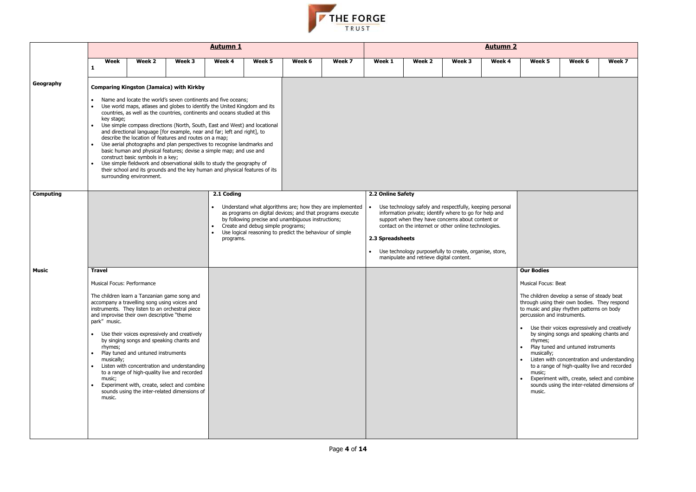- 
- 
- 
- 



|                  |                                                                                                          |                                                                                                                                                                                                                                                                                 |                                                                                                                                                                                                                                                                                                                                                                                                                                                                                                                                                                                                                                                                                                                                                                                                             | <b>Autumn 1</b>                      |                                   |                                                                                                                |                                                                                                                       |                                       |                                          |                                                                                                                                                                                                                                                                                            | <b>Autumn 2</b> |                                                                                                                                                                                                                                                                                                                    |                                                                                                                                                                                                                                                                              |        |
|------------------|----------------------------------------------------------------------------------------------------------|---------------------------------------------------------------------------------------------------------------------------------------------------------------------------------------------------------------------------------------------------------------------------------|-------------------------------------------------------------------------------------------------------------------------------------------------------------------------------------------------------------------------------------------------------------------------------------------------------------------------------------------------------------------------------------------------------------------------------------------------------------------------------------------------------------------------------------------------------------------------------------------------------------------------------------------------------------------------------------------------------------------------------------------------------------------------------------------------------------|--------------------------------------|-----------------------------------|----------------------------------------------------------------------------------------------------------------|-----------------------------------------------------------------------------------------------------------------------|---------------------------------------|------------------------------------------|--------------------------------------------------------------------------------------------------------------------------------------------------------------------------------------------------------------------------------------------------------------------------------------------|-----------------|--------------------------------------------------------------------------------------------------------------------------------------------------------------------------------------------------------------------------------------------------------------------------------------------------------------------|------------------------------------------------------------------------------------------------------------------------------------------------------------------------------------------------------------------------------------------------------------------------------|--------|
|                  | Week<br>1                                                                                                | Week 2                                                                                                                                                                                                                                                                          | Week 3                                                                                                                                                                                                                                                                                                                                                                                                                                                                                                                                                                                                                                                                                                                                                                                                      | Week 4                               | Week 5                            | Week 6                                                                                                         | Week 7                                                                                                                | Week 1                                | Week 2                                   | Week 3                                                                                                                                                                                                                                                                                     | Week 4          | Week 5                                                                                                                                                                                                                                                                                                             | Week 6                                                                                                                                                                                                                                                                       | Week 7 |
| Geography        | key stage;                                                                                               | construct basic symbols in a key;<br>surrounding environment.                                                                                                                                                                                                                   | <b>Comparing Kingston (Jamaica) with Kirkby</b><br>Name and locate the world's seven continents and five oceans;<br>Use world maps, atlases and globes to identify the United Kingdom and its<br>countries, as well as the countries, continents and oceans studied at this<br>Use simple compass directions (North, South, East and West) and locational<br>and directional language [for example, near and far; left and right], to<br>describe the location of features and routes on a map;<br>Use aerial photographs and plan perspectives to recognise landmarks and<br>basic human and physical features; devise a simple map; and use and<br>Use simple fieldwork and observational skills to study the geography of<br>their school and its grounds and the key human and physical features of its |                                      |                                   |                                                                                                                |                                                                                                                       |                                       |                                          |                                                                                                                                                                                                                                                                                            |                 |                                                                                                                                                                                                                                                                                                                    |                                                                                                                                                                                                                                                                              |        |
| <b>Computing</b> |                                                                                                          |                                                                                                                                                                                                                                                                                 |                                                                                                                                                                                                                                                                                                                                                                                                                                                                                                                                                                                                                                                                                                                                                                                                             | 2.1 Coding<br>$\bullet$<br>programs. | Create and debug simple programs; | by following precise and unambiguous instructions;<br>Use logical reasoning to predict the behaviour of simple | Understand what algorithms are; how they are implemented<br>as programs on digital devices; and that programs execute | 2.2 Online Safety<br>2.3 Spreadsheets | manipulate and retrieve digital content. | Use technology safely and respectfully, keeping personal<br>information private; identify where to go for help and<br>support when they have concerns about content or<br>contact on the internet or other online technologies.<br>Use technology purposefully to create, organise, store, |                 |                                                                                                                                                                                                                                                                                                                    |                                                                                                                                                                                                                                                                              |        |
| Music            | <b>Travel</b><br>Musical Focus: Performance<br>park" music.<br>rhymes;<br>musically;<br>music;<br>music. | The children learn a Tanzanian game song and<br>accompany a travelling song using voices and<br>instruments. They listen to an orchestral piece<br>and improvise their own descriptive "theme<br>by singing songs and speaking chants and<br>Play tuned and untuned instruments | Use their voices expressively and creatively<br>Listen with concentration and understanding<br>to a range of high-quality live and recorded<br>Experiment with, create, select and combine<br>sounds using the inter-related dimensions of                                                                                                                                                                                                                                                                                                                                                                                                                                                                                                                                                                  |                                      |                                   |                                                                                                                |                                                                                                                       |                                       |                                          |                                                                                                                                                                                                                                                                                            |                 | <b>Our Bodies</b><br>Musical Focus: Beat<br>The children develop a sense of steady beat<br>through using their own bodies. They respond<br>to music and play rhythm patterns on body<br>percussion and instruments.<br>• Use their voices expressively and creatively<br>rhymes;<br>musically;<br>music;<br>music. | by singing songs and speaking chants and<br>Play tuned and untuned instruments<br>Listen with concentration and understanding<br>to a range of high-quality live and recorded<br>Experiment with, create, select and combine<br>sounds using the inter-related dimensions of |        |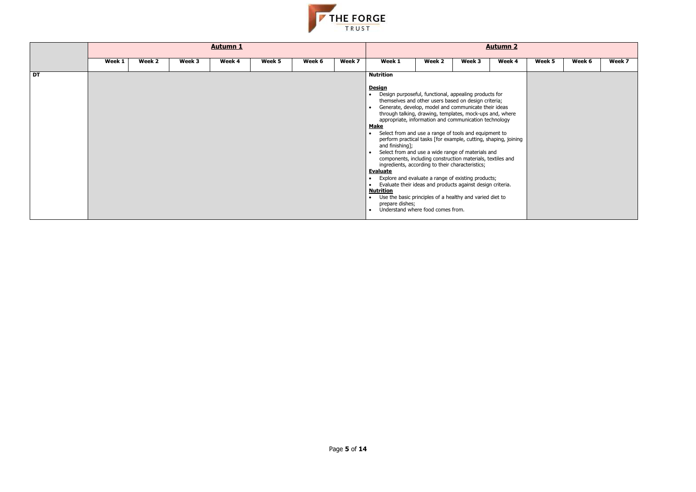

|           |        |        |        | <b>Autumn 1</b> |        |        |        |                                                                                                                                                                                                                                                                                                                                                                                                                                                                                                                                                                                                                                                                                                                                                                                                                     |        |        | <b>Autumn 2</b> |        |        |        |
|-----------|--------|--------|--------|-----------------|--------|--------|--------|---------------------------------------------------------------------------------------------------------------------------------------------------------------------------------------------------------------------------------------------------------------------------------------------------------------------------------------------------------------------------------------------------------------------------------------------------------------------------------------------------------------------------------------------------------------------------------------------------------------------------------------------------------------------------------------------------------------------------------------------------------------------------------------------------------------------|--------|--------|-----------------|--------|--------|--------|
|           | Week 1 | Week 2 | Week 3 | Week 4          | Week 5 | Week 6 | Week 7 | Week 1                                                                                                                                                                                                                                                                                                                                                                                                                                                                                                                                                                                                                                                                                                                                                                                                              | Week 2 | Week 3 | Week 4          | Week 5 | Week 6 | Week 7 |
|           |        |        |        |                 |        |        |        |                                                                                                                                                                                                                                                                                                                                                                                                                                                                                                                                                                                                                                                                                                                                                                                                                     |        |        |                 |        |        |        |
| <b>DT</b> |        |        |        |                 |        |        |        | <b>Nutrition</b><br><b>Design</b><br>• Design purposeful, functional, appealing products for<br>themselves and other users based on design criteria;<br>Generate, develop, model and communicate their ideas<br>through talking, drawing, templates, mock-ups and, where<br>appropriate, information and communication technology<br><b>Make</b><br>• Select from and use a range of tools and equipment to<br>perform practical tasks [for example, cutting, shaping, joining<br>and finishing];<br>Select from and use a wide range of materials and<br>components, including construction materials, textiles and<br>ingredients, according to their characteristics;<br><b>Evaluate</b><br>• Explore and evaluate a range of existing products;<br>• Evaluate their ideas and products against design criteria. |        |        |                 |        |        |        |
|           |        |        |        |                 |        |        |        | <b>Nutrition</b><br>• Use the basic principles of a healthy and varied diet to<br>prepare dishes;                                                                                                                                                                                                                                                                                                                                                                                                                                                                                                                                                                                                                                                                                                                   |        |        |                 |        |        |        |
|           |        |        |        |                 |        |        |        | • Understand where food comes from.                                                                                                                                                                                                                                                                                                                                                                                                                                                                                                                                                                                                                                                                                                                                                                                 |        |        |                 |        |        |        |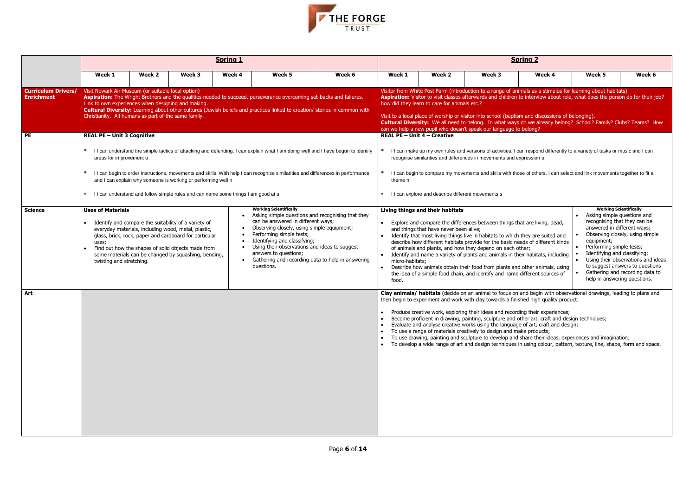

|                                                 |                                                                                                                                                                  |        |                                                                                                                                                                                                                                                                                     | <b>Spring 1</b> |                                                                                                                                                                                                                                                                                                                                                                                 |                                                                                                                                   |                                    |                                                                            |                                                                                                                                                                                                                                                                                                         | <b>Spring 2</b>                                                                                                                                                                                                                                                                                                                                                                                                                                                                                                                                                                                                                                                                                                      |                                                                                                       |                                                                                                                                                                                                                                                                             |
|-------------------------------------------------|------------------------------------------------------------------------------------------------------------------------------------------------------------------|--------|-------------------------------------------------------------------------------------------------------------------------------------------------------------------------------------------------------------------------------------------------------------------------------------|-----------------|---------------------------------------------------------------------------------------------------------------------------------------------------------------------------------------------------------------------------------------------------------------------------------------------------------------------------------------------------------------------------------|-----------------------------------------------------------------------------------------------------------------------------------|------------------------------------|----------------------------------------------------------------------------|---------------------------------------------------------------------------------------------------------------------------------------------------------------------------------------------------------------------------------------------------------------------------------------------------------|----------------------------------------------------------------------------------------------------------------------------------------------------------------------------------------------------------------------------------------------------------------------------------------------------------------------------------------------------------------------------------------------------------------------------------------------------------------------------------------------------------------------------------------------------------------------------------------------------------------------------------------------------------------------------------------------------------------------|-------------------------------------------------------------------------------------------------------|-----------------------------------------------------------------------------------------------------------------------------------------------------------------------------------------------------------------------------------------------------------------------------|
|                                                 | Week 1                                                                                                                                                           | Week 2 | Week 3                                                                                                                                                                                                                                                                              | Week 4          | Week 5                                                                                                                                                                                                                                                                                                                                                                          | Week 6                                                                                                                            | Week 1                             | Week 2                                                                     | Week 3                                                                                                                                                                                                                                                                                                  | Week 4                                                                                                                                                                                                                                                                                                                                                                                                                                                                                                                                                                                                                                                                                                               | Week 5                                                                                                | Week 6                                                                                                                                                                                                                                                                      |
| <b>Curriculum Drivers/</b><br><b>Enrichment</b> | Visit Newark Air Museum (or suitable local option)<br>Link to own experiences when designing and making.<br>Christianity. All humans as part of the same family. |        |                                                                                                                                                                                                                                                                                     |                 | Aspiration: The Wright Brothers and the qualities needed to succeed, perseverance overcoming set-backs and failures.<br>Cultural Diversity: Learning about other cultures (Jewish beliefs and practices linked to creation/ stories in common with                                                                                                                              |                                                                                                                                   |                                    | how did they learn to care for animals etc.?                               | can we help a new pupil who doesn't speak our language to belong?                                                                                                                                                                                                                                       | Visitor from White Post Farm (introduction to a range of animals as a stimulus for learning about habitats)<br>Aspiration: Visitor to visit classes afterwards and children to interview about role, what does the person do for their job?<br>Visit to a local place of worship or visitor into school (baptism and discussions of belonging).<br>Cultural Diversity: We all need to belong. In what ways do we already belong? School? Family? Clubs? Teams? How                                                                                                                                                                                                                                                   |                                                                                                       |                                                                                                                                                                                                                                                                             |
| PE                                              | <b>REAL PE - Unit 3 Cognitive</b>                                                                                                                                |        |                                                                                                                                                                                                                                                                                     |                 |                                                                                                                                                                                                                                                                                                                                                                                 |                                                                                                                                   | <b>REAL PE - Unit 4 - Creative</b> |                                                                            |                                                                                                                                                                                                                                                                                                         |                                                                                                                                                                                                                                                                                                                                                                                                                                                                                                                                                                                                                                                                                                                      |                                                                                                       |                                                                                                                                                                                                                                                                             |
|                                                 | areas for improvement u                                                                                                                                          |        |                                                                                                                                                                                                                                                                                     |                 |                                                                                                                                                                                                                                                                                                                                                                                 | I I can understand the simple tactics of attacking and defending. I can explain what I am doing well and I have begun to identify |                                    |                                                                            | recognise similarities and differences in movements and expression u                                                                                                                                                                                                                                    | I I can make up my own rules and versions of activities. I can respond differently to a variety of tasks or music and I can                                                                                                                                                                                                                                                                                                                                                                                                                                                                                                                                                                                          |                                                                                                       |                                                                                                                                                                                                                                                                             |
|                                                 | <b>TILL</b>                                                                                                                                                      |        | and I can explain why someone is working or performing well n                                                                                                                                                                                                                       |                 | I I can begin to order instructions, movements and skills. With help I can recognise similarities and differences in performance                                                                                                                                                                                                                                                |                                                                                                                                   | theme n                            |                                                                            |                                                                                                                                                                                                                                                                                                         | I I can begin to compare my movements and skills with those of others. I can select and link movements together to fit a                                                                                                                                                                                                                                                                                                                                                                                                                                                                                                                                                                                             |                                                                                                       |                                                                                                                                                                                                                                                                             |
|                                                 |                                                                                                                                                                  |        | I I can understand and follow simple rules and can name some things I am good at s                                                                                                                                                                                                  |                 |                                                                                                                                                                                                                                                                                                                                                                                 |                                                                                                                                   |                                    | I can explore and describe different movements s                           |                                                                                                                                                                                                                                                                                                         |                                                                                                                                                                                                                                                                                                                                                                                                                                                                                                                                                                                                                                                                                                                      |                                                                                                       |                                                                                                                                                                                                                                                                             |
| <b>Science</b>                                  | <b>Uses of Materials</b><br>uses;<br>twisting and stretching.                                                                                                    |        | Identify and compare the suitability of a variety of<br>everyday materials, including wood, metal, plastic,<br>glass, brick, rock, paper and cardboard for particular<br>Find out how the shapes of solid objects made from<br>some materials can be changed by squashing, bending, |                 | <b>Working Scientifically</b><br>Asking simple questions and recognising that they<br>can be answered in different ways;<br>Observing closely, using simple equipment;<br>Performing simple tests;<br>Identifying and classifying;<br>Using their observations and ideas to suggest<br>answers to questions;<br>Gathering and recording data to help in answering<br>questions. |                                                                                                                                   | micro-habitats;<br>food.           | Living things and their habitats<br>and things that have never been alive; | Explore and compare the differences between things that are living, dead,<br>Identify that most living things live in habitats to which they are suited and<br>of animals and plants, and how they depend on each other;<br>the idea of a simple food chain, and identify and name different sources of | describe how different habitats provide for the basic needs of different kinds<br>• Identify and name a variety of plants and animals in their habitats, including<br>Describe how animals obtain their food from plants and other animals, using                                                                                                                                                                                                                                                                                                                                                                                                                                                                    | answered in different ways;<br>equipment;<br>Performing simple tests;<br>Identifying and classifying; | <b>Working Scientifically</b><br>Asking simple questions and<br>recognising that they can be<br>Observing closely, using simple<br>Using their observations and ideas<br>to suggest answers to questions<br>Gathering and recording data to<br>help in answering questions. |
| Art                                             |                                                                                                                                                                  |        |                                                                                                                                                                                                                                                                                     |                 |                                                                                                                                                                                                                                                                                                                                                                                 |                                                                                                                                   |                                    |                                                                            | To use a range of materials creatively to design and make products;                                                                                                                                                                                                                                     | Clay animals/ habitats (decide on an animal to focus on and begin with observational drawings, leading to plans and<br>then begin to experiment and work with clay towards a finished high quality product.<br>• Produce creative work, exploring their ideas and recording their experiences;<br>Become proficient in drawing, painting, sculpture and other art, craft and design techniques;<br>Evaluate and analyse creative works using the language of art, craft and design;<br>To use drawing, painting and sculpture to develop and share their ideas, experiences and imagination;<br>To develop a wide range of art and design techniques in using colour, pattern, texture, line, shape, form and space. |                                                                                                       |                                                                                                                                                                                                                                                                             |

| <u>ng 2</u>                                                                                                                              |                                                                                                                                                                                                                                       |                                                                                                                                             |
|------------------------------------------------------------------------------------------------------------------------------------------|---------------------------------------------------------------------------------------------------------------------------------------------------------------------------------------------------------------------------------------|---------------------------------------------------------------------------------------------------------------------------------------------|
| Week 4                                                                                                                                   | Week <sub>5</sub>                                                                                                                                                                                                                     | Week 6                                                                                                                                      |
|                                                                                                                                          | als as a stimulus for learning about habitats)<br>interview about role, what does the person do for their job?                                                                                                                        |                                                                                                                                             |
| and discussions of belonging).<br>elong?                                                                                                 | we already belong? School? Family? Clubs? Teams? How                                                                                                                                                                                  |                                                                                                                                             |
| ession u                                                                                                                                 | respond differently to a variety of tasks or music and I can<br>of others. I can select and link movements together to fit a                                                                                                          |                                                                                                                                             |
| are living, dead,<br>ey are suited and<br>s of different kinds<br>er;<br>habitats, including<br>ther animals, using<br>ferent sources of | <b>Working Scientifically</b><br>Asking simple questions and<br>recognising that they can be<br>answered in different ways;<br>equipment;<br>Performing simple tests;<br>Identifying and classifying;<br>help in answering questions. | Observing closely, using simple<br>Using their observations and ideas<br>to suggest answers to questions<br>Gathering and recording data to |
| d high quality product.<br>their experiences;<br>er art, craft and design techniques;<br>f art, craft and design;<br>products;           | d begin with observational drawings, leading to plans and<br>are their ideas, experiences and imagination;<br>using colour, pattern, texture, line, shape, form and space.                                                            |                                                                                                                                             |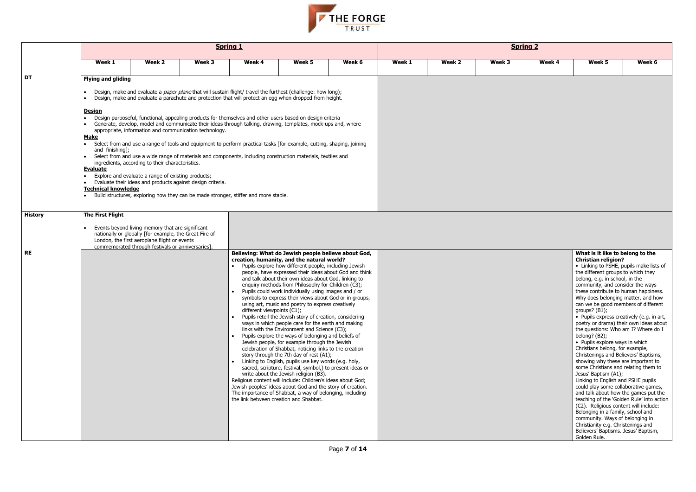

|                |                                                                                                                                                                                                                                                                                                                                                                                                                                                                                                                                                                                                     |                                                                                                                                                            | <b>Spring 1</b>                                                                                                                                                                                                                                                                                                                                                                                                                                                     |                                                                      |                                                                                                                                                                                                                                                                                                                                                                                                                                                                                                                                                                                                                                                                                                                                                                                                                                                                                                                                                                                                                                                                                                                                                                                                                                                  |        |        |        | <b>Spring 2</b> |        |                                                                                                                                                                                                                                                                                                                                                                                                                                                                                                                                                                                                                                                                                                                                                                                                                                                                                                                                                                                                                                                                                                                     |        |
|----------------|-----------------------------------------------------------------------------------------------------------------------------------------------------------------------------------------------------------------------------------------------------------------------------------------------------------------------------------------------------------------------------------------------------------------------------------------------------------------------------------------------------------------------------------------------------------------------------------------------------|------------------------------------------------------------------------------------------------------------------------------------------------------------|---------------------------------------------------------------------------------------------------------------------------------------------------------------------------------------------------------------------------------------------------------------------------------------------------------------------------------------------------------------------------------------------------------------------------------------------------------------------|----------------------------------------------------------------------|--------------------------------------------------------------------------------------------------------------------------------------------------------------------------------------------------------------------------------------------------------------------------------------------------------------------------------------------------------------------------------------------------------------------------------------------------------------------------------------------------------------------------------------------------------------------------------------------------------------------------------------------------------------------------------------------------------------------------------------------------------------------------------------------------------------------------------------------------------------------------------------------------------------------------------------------------------------------------------------------------------------------------------------------------------------------------------------------------------------------------------------------------------------------------------------------------------------------------------------------------|--------|--------|--------|-----------------|--------|---------------------------------------------------------------------------------------------------------------------------------------------------------------------------------------------------------------------------------------------------------------------------------------------------------------------------------------------------------------------------------------------------------------------------------------------------------------------------------------------------------------------------------------------------------------------------------------------------------------------------------------------------------------------------------------------------------------------------------------------------------------------------------------------------------------------------------------------------------------------------------------------------------------------------------------------------------------------------------------------------------------------------------------------------------------------------------------------------------------------|--------|
|                | Week 1                                                                                                                                                                                                                                                                                                                                                                                                                                                                                                                                                                                              | Week 2                                                                                                                                                     | Week 3                                                                                                                                                                                                                                                                                                                                                                                                                                                              | Week 4                                                               | Week 5                                                                                                                                                                                                                                                                                                                                                                                                                                                                                                                                                                                                                                                                                                                                                                                                                                                                                                                                                                                                                                                                                                                                                                                                                                           | Week 6 | Week 1 | Week 2 | Week 3          | Week 4 | Week 5                                                                                                                                                                                                                                                                                                                                                                                                                                                                                                                                                                                                                                                                                                                                                                                                                                                                                                                                                                                                                                                                                                              | Week 6 |
| DT             | <b>Flying and gliding</b><br>$\bullet$<br><u>Design</u><br>• Generate, develop, model and communicate their ideas through talking, drawing, templates, mock-ups and, where<br><b>Make</b><br>• Select from and use a range of tools and equipment to perform practical tasks [for example, cutting, shaping, joining<br>and finishing];<br>• Select from and use a wide range of materials and components, including construction materials, textiles and<br><b>Evaluate</b><br><b>Technical knowledge</b><br>. Build structures, exploring how they can be made stronger, stiffer and more stable. | ingredients, according to their characteristics.<br>Explore and evaluate a range of existing products;                                                     | Design, make and evaluate a <i>paper plane</i> that will sustain flight/ travel the furthest (challenge: how long);<br>Design, make and evaluate a parachute and protection that will protect an egg when dropped from height.<br>Design purposeful, functional, appealing products for themselves and other users based on design criteria<br>appropriate, information and communication technology.<br>Evaluate their ideas and products against design criteria. |                                                                      |                                                                                                                                                                                                                                                                                                                                                                                                                                                                                                                                                                                                                                                                                                                                                                                                                                                                                                                                                                                                                                                                                                                                                                                                                                                  |        |        |        |                 |        |                                                                                                                                                                                                                                                                                                                                                                                                                                                                                                                                                                                                                                                                                                                                                                                                                                                                                                                                                                                                                                                                                                                     |        |
| <b>History</b> | The First Flight                                                                                                                                                                                                                                                                                                                                                                                                                                                                                                                                                                                    | Events beyond living memory that are significant<br>nationally or globally [for example, the Great Fire of<br>London, the first aeroplane flight or events |                                                                                                                                                                                                                                                                                                                                                                                                                                                                     |                                                                      |                                                                                                                                                                                                                                                                                                                                                                                                                                                                                                                                                                                                                                                                                                                                                                                                                                                                                                                                                                                                                                                                                                                                                                                                                                                  |        |        |        |                 |        |                                                                                                                                                                                                                                                                                                                                                                                                                                                                                                                                                                                                                                                                                                                                                                                                                                                                                                                                                                                                                                                                                                                     |        |
| <b>RE</b>      |                                                                                                                                                                                                                                                                                                                                                                                                                                                                                                                                                                                                     | commemorated through festivals or anniversaries].                                                                                                          |                                                                                                                                                                                                                                                                                                                                                                                                                                                                     | different viewpoints (C1);<br>the link between creation and Shabbat. | Believing: What do Jewish people believe about God,<br>creation, humanity, and the natural world?<br>Pupils explore how different people, including Jewish<br>people, have expressed their ideas about God and think<br>and talk about their own ideas about God, linking to<br>enquiry methods from Philosophy for Children (C3);<br>Pupils could work individually using images and / or<br>symbols to express their views about God or in groups,<br>using art, music and poetry to express creatively<br>Pupils retell the Jewish story of creation, considering<br>ways in which people care for the earth and making<br>links with the Environment and Science (C3);<br>Pupils explore the ways of belonging and beliefs of<br>Jewish people, for example through the Jewish<br>celebration of Shabbat, noticing links to the creation<br>story through the 7th day of rest (A1);<br>• Linking to English, pupils use key words (e.g. holy,<br>sacred, scripture, festival, symbol,) to present ideas or<br>write about the Jewish religion (B3).<br>Religious content will include: Children's ideas about God;<br>Jewish peoples' ideas about God and the story of creation.<br>The importance of Shabbat, a way of belonging, including |        |        |        |                 |        | What is it like to belong to the<br><b>Christian religion?</b><br>• Linking to PSHE, pupils make lists of<br>the different groups to which they<br>belong, e.g. in school, in the<br>community, and consider the ways<br>these contribute to human happiness.<br>Why does belonging matter, and how<br>can we be good members of different<br>groups? $(B1)$ ;<br>• Pupils express creatively (e.g. in art,<br>poetry or drama) their own ideas about<br>the questions: Who am I? Where do I<br>belong? (B2);<br>• Pupils explore ways in which<br>Christians belong, for example,<br>Christenings and Believers' Baptisms,<br>showing why these are important to<br>some Christians and relating them to<br>Jesus' Baptism (A1);<br>Linking to English and PSHE pupils<br>could play some collaborative games,<br>and talk about how the games put the<br>teaching of the 'Golden Rule' into action<br>(C2). Religious content will include:<br>Belonging in a family, school and<br>community. Ways of belonging in<br>Christianity e.g. Christenings and<br>Believers' Baptisms. Jesus' Baptism,<br>Golden Rule. |        |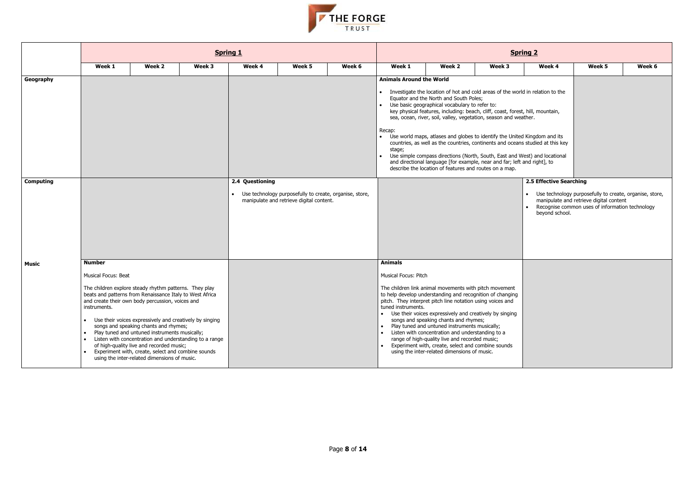- 
- 



|                  |                                                                                                                                                                                                                                                    |                                                                                                                                                                                                                                                                                                     | <b>Spring 1</b>                                        |                 |                                                                                                     |        |                                                                                               |                                                                                                                                                                                                                                                                                                                                                                                                                                                                                                                                                                                                                                                                                                                       |        | <b>Spring 2</b>                           |                                                                                                                                                         |        |
|------------------|----------------------------------------------------------------------------------------------------------------------------------------------------------------------------------------------------------------------------------------------------|-----------------------------------------------------------------------------------------------------------------------------------------------------------------------------------------------------------------------------------------------------------------------------------------------------|--------------------------------------------------------|-----------------|-----------------------------------------------------------------------------------------------------|--------|-----------------------------------------------------------------------------------------------|-----------------------------------------------------------------------------------------------------------------------------------------------------------------------------------------------------------------------------------------------------------------------------------------------------------------------------------------------------------------------------------------------------------------------------------------------------------------------------------------------------------------------------------------------------------------------------------------------------------------------------------------------------------------------------------------------------------------------|--------|-------------------------------------------|---------------------------------------------------------------------------------------------------------------------------------------------------------|--------|
|                  | Week 1                                                                                                                                                                                                                                             | Week 2                                                                                                                                                                                                                                                                                              | Week 3                                                 | Week 4          | Week 5                                                                                              | Week 6 | Week 1                                                                                        | Week 2                                                                                                                                                                                                                                                                                                                                                                                                                                                                                                                                                                                                                                                                                                                | Week 3 | Week 4                                    | Week 5                                                                                                                                                  | Week 6 |
| Geography        |                                                                                                                                                                                                                                                    |                                                                                                                                                                                                                                                                                                     |                                                        |                 |                                                                                                     |        | <b>Animals Around the World</b><br>Recap:<br>$\bullet$<br>stage;                              | Investigate the location of hot and cold areas of the world in relation to the<br>Equator and the North and South Poles;<br>• Use basic geographical vocabulary to refer to:<br>key physical features, including: beach, cliff, coast, forest, hill, mountain,<br>sea, ocean, river, soil, valley, vegetation, season and weather.<br>Use world maps, atlases and globes to identify the United Kingdom and its<br>countries, as well as the countries, continents and oceans studied at this key<br>Use simple compass directions (North, South, East and West) and locational<br>and directional language [for example, near and far; left and right], to<br>describe the location of features and routes on a map. |        |                                           |                                                                                                                                                         |        |
| <b>Computing</b> |                                                                                                                                                                                                                                                    |                                                                                                                                                                                                                                                                                                     |                                                        | 2.4 Questioning | Use technology purposefully to create, organise, store,<br>manipulate and retrieve digital content. |        |                                                                                               |                                                                                                                                                                                                                                                                                                                                                                                                                                                                                                                                                                                                                                                                                                                       |        | 2.5 Effective Searching<br>beyond school. | • Use technology purposefully to create, organise, store,<br>manipulate and retrieve digital content<br>Recognise common uses of information technology |        |
| Music            | <b>Number</b><br><b>Musical Focus: Beat</b><br>The children explore steady rhythm patterns. They play<br>beats and patterns from Renaissance Italy to West Africa<br>and create their own body percussion, voices and<br>instruments.<br>$\bullet$ | Use their voices expressively and creatively by singing<br>songs and speaking chants and rhymes;<br>Play tuned and untuned instruments musically;<br>of high-quality live and recorded music;<br>Experiment with, create, select and combine sounds<br>using the inter-related dimensions of music. | Listen with concentration and understanding to a range |                 |                                                                                                     |        | <b>Animals</b><br><b>Musical Focus: Pitch</b><br>tuned instruments.<br>$\bullet$<br>$\bullet$ | The children link animal movements with pitch movement<br>to help develop understanding and recognition of changing<br>pitch. They interpret pitch line notation using voices and<br>• Use their voices expressively and creatively by singing<br>songs and speaking chants and rhymes;<br>Play tuned and untuned instruments musically;<br>• Listen with concentration and understanding to a<br>range of high-quality live and recorded music;<br>Experiment with, create, select and combine sounds<br>using the inter-related dimensions of music.                                                                                                                                                                |        |                                           |                                                                                                                                                         |        |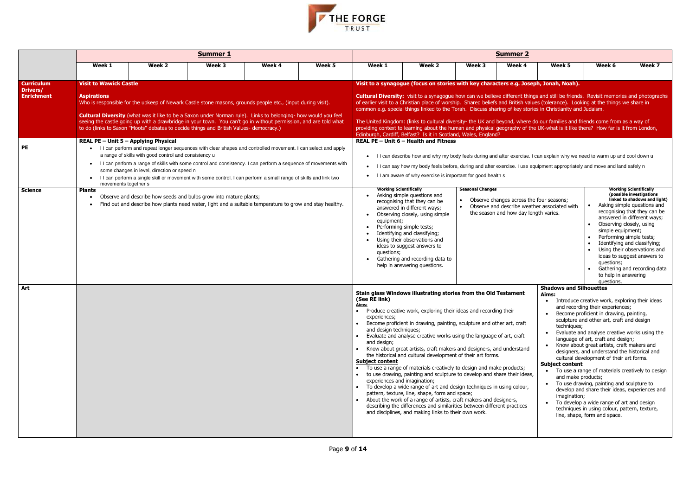

|                                      |                                                              |                                                                                                      | <b>Summer 1</b>                                                                                                                                                                                                                                                                                                                                                                                                                            |        |        |                                                                                                                  |                                                                                                                                                                                                                                                                                                                                                                                                                                                                                                                                                                                                                                                                                                                                                                                                                                                                                                                                                    |                                      | <b>Summer 2</b>                                                                   |                                                                                                                                                  |                                                                                                                                                                                                                                                                                                                                                                                                                                                                                                                                                                                                                                                                                                    |                                                                                                                                                                                                                                                                                                                        |
|--------------------------------------|--------------------------------------------------------------|------------------------------------------------------------------------------------------------------|--------------------------------------------------------------------------------------------------------------------------------------------------------------------------------------------------------------------------------------------------------------------------------------------------------------------------------------------------------------------------------------------------------------------------------------------|--------|--------|------------------------------------------------------------------------------------------------------------------|----------------------------------------------------------------------------------------------------------------------------------------------------------------------------------------------------------------------------------------------------------------------------------------------------------------------------------------------------------------------------------------------------------------------------------------------------------------------------------------------------------------------------------------------------------------------------------------------------------------------------------------------------------------------------------------------------------------------------------------------------------------------------------------------------------------------------------------------------------------------------------------------------------------------------------------------------|--------------------------------------|-----------------------------------------------------------------------------------|--------------------------------------------------------------------------------------------------------------------------------------------------|----------------------------------------------------------------------------------------------------------------------------------------------------------------------------------------------------------------------------------------------------------------------------------------------------------------------------------------------------------------------------------------------------------------------------------------------------------------------------------------------------------------------------------------------------------------------------------------------------------------------------------------------------------------------------------------------------|------------------------------------------------------------------------------------------------------------------------------------------------------------------------------------------------------------------------------------------------------------------------------------------------------------------------|
|                                      | Week 1                                                       | Week 2                                                                                               | Week 3                                                                                                                                                                                                                                                                                                                                                                                                                                     | Week 4 | Week 5 | Week 1                                                                                                           | Week 2                                                                                                                                                                                                                                                                                                                                                                                                                                                                                                                                                                                                                                                                                                                                                                                                                                                                                                                                             | Week 3                               | Week 4                                                                            | Week 5                                                                                                                                           | Week 6                                                                                                                                                                                                                                                                                                                                                                                                                                                                                                                                                                                                                                                                                             | Week 7                                                                                                                                                                                                                                                                                                                 |
| <b>Curriculum</b><br><b>Drivers/</b> | <b>Visit to Wawick Castle</b>                                |                                                                                                      |                                                                                                                                                                                                                                                                                                                                                                                                                                            |        |        |                                                                                                                  | Visit to a synagogue (focus on stories with key characters e.g. Joseph, Jonah, Noah).                                                                                                                                                                                                                                                                                                                                                                                                                                                                                                                                                                                                                                                                                                                                                                                                                                                              |                                      |                                                                                   |                                                                                                                                                  |                                                                                                                                                                                                                                                                                                                                                                                                                                                                                                                                                                                                                                                                                                    |                                                                                                                                                                                                                                                                                                                        |
| <b>Enrichment</b>                    | <b>Aspirations</b>                                           |                                                                                                      | Who is responsible for the upkeep of Newark Castle stone masons, grounds people etc., (input during visit).<br>Cultural Diversity (what was it like to be a Saxon under Norman rule). Links to belonging- how would you feel<br>seeing the castle going up with a drawbridge in your town. You can't go in without permission, and are told what<br>to do (links to Saxon "Moots" debates to decide things and British Values- democracy.) |        |        |                                                                                                                  | <b>Cultural Diversity:</b> visit to a synagogue how can we believe different things and still be friends. Revisit memories and photographs<br>of earlier visit to a Christian place of worship. Shared beliefs and British values (tolerance). Looking at the things we share in<br>common e.g. special things linked to the Torah. Discuss sharing of key stories in Christianity and Judaism.<br>The United Kingdom: (links to cultural diversity- the UK and beyond, where do our families and friends come from as a way of<br>providing context to learning about the human and physical geography of the UK-what is it like there? How far is it from London,<br>Edinburgh, Cardiff, Belfast? Is it in Scotland, Wales, England?                                                                                                                                                                                                             |                                      |                                                                                   |                                                                                                                                                  |                                                                                                                                                                                                                                                                                                                                                                                                                                                                                                                                                                                                                                                                                                    |                                                                                                                                                                                                                                                                                                                        |
| <b>PE</b>                            | REAL PE - Unit 5 - Applying Physical<br>movements together s | a range of skills with good control and consistency u<br>some changes in level, direction or speed n | I I can perform and repeat longer sequences with clear shapes and controlled movement. I can select and apply<br>. I I can perform a range of skills with some control and consistency. I can perform a sequence of movements with<br>I I can perform a single skill or movement with some control. I can perform a small range of skills and link two                                                                                     |        |        | $\bullet$                                                                                                        | REAL PE - Unit 6 - Health and Fitness<br>I I can describe how and why my body feels during and after exercise. I can explain why we need to warm up and cool down u<br>I I can say how my body feels before, during and after exercise. I use equipment appropriately and move and land safely n<br>I I am aware of why exercise is important for good health s                                                                                                                                                                                                                                                                                                                                                                                                                                                                                                                                                                                    |                                      |                                                                                   |                                                                                                                                                  |                                                                                                                                                                                                                                                                                                                                                                                                                                                                                                                                                                                                                                                                                                    |                                                                                                                                                                                                                                                                                                                        |
| <b>Science</b>                       | <b>Plants</b>                                                |                                                                                                      | Observe and describe how seeds and bulbs grow into mature plants;<br>Find out and describe how plants need water, light and a suitable temperature to grow and stay healthy.                                                                                                                                                                                                                                                               |        |        | <b>Working Scientifically</b><br>equipment;<br>questions;                                                        | Asking simple questions and<br>recognising that they can be<br>answered in different ways;<br>Observing closely, using simple<br>Performing simple tests;<br>Identifying and classifying;<br>Using their observations and<br>ideas to suggest answers to<br>Gathering and recording data to<br>help in answering questions.                                                                                                                                                                                                                                                                                                                                                                                                                                                                                                                                                                                                                        | <b>Seasonal Changes</b><br>$\bullet$ | Observe changes across the four seasons;<br>the season and how day length varies. | Observe and describe weather associated with                                                                                                     | Observing closely, using<br>simple equipment;<br>Performing simple tests;<br>questions;<br>to help in answering<br>questions.                                                                                                                                                                                                                                                                                                                                                                                                                                                                                                                                                                      | <b>Working Scientifically</b><br>(possible investigations<br>linked to shadows and light)<br>Asking simple questions and<br>recognising that they can be<br>answered in different ways;<br>Identifying and classifying;<br>Using their observations and<br>ideas to suggest answers to<br>Gathering and recording data |
| Art                                  |                                                              |                                                                                                      |                                                                                                                                                                                                                                                                                                                                                                                                                                            |        |        | (See RE link)<br><u>Aims:</u><br>experiences;<br>and design techniques;<br>and design;<br><b>Subject content</b> | Stain glass Windows illustrating stories from the Old Testament<br>Produce creative work, exploring their ideas and recording their<br>Become proficient in drawing, painting, sculpture and other art, craft<br>Evaluate and analyse creative works using the language of art, craft<br>Know about great artists, craft makers and designers, and understand<br>the historical and cultural development of their art forms.<br>To use a range of materials creatively to design and make products;<br>to use drawing, painting and sculpture to develop and share their ideas,<br>experiences and imagination;<br>To develop a wide range of art and design techniques in using colour,<br>pattern, texture, line, shape, form and space;<br>About the work of a range of artists, craft makers and designers,<br>describing the differences and similarities between different practices<br>and disciplines, and making links to their own work. |                                      |                                                                                   | <b>Shadows and Silhouettes</b><br>Aims:<br>$\bullet$<br>techniques;<br>$\bullet$<br><b>Subject content</b><br>and make products;<br>imagination; | Introduce creative work, exploring their ideas<br>and recording their experiences;<br>Become proficient in drawing, painting,<br>sculpture and other art, craft and design<br>Evaluate and analyse creative works using the<br>language of art, craft and design;<br>• Know about great artists, craft makers and<br>designers, and understand the historical and<br>cultural development of their art forms.<br>• To use a range of materials creatively to design<br>• To use drawing, painting and sculpture to<br>develop and share their ideas, experiences and<br>To develop a wide range of art and design<br>techniques in using colour, pattern, texture,<br>line, shape, form and space. |                                                                                                                                                                                                                                                                                                                        |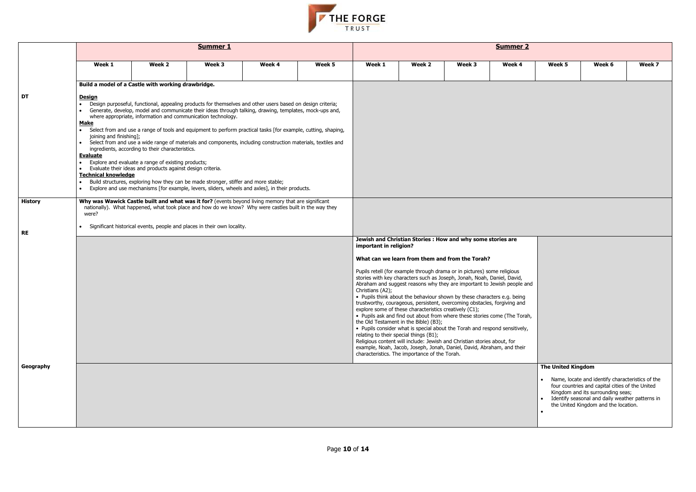

|                                   |                                                                                                                                                                                                                 |                                                                                                                                                                        | <b>Summer 1</b>                                                                                                                                                                                                                                                                                                                                                                                                                                                                                                                                                                                                                                  |        |        |                                                                                                     |                                                                                                         |                                                                                                                                                                                                                                                                                                                                                                                                                                                                                                                                                                                                                                                                                                      | <b>Summer 2</b> |                           |                                                                                                                                                                                 |        |
|-----------------------------------|-----------------------------------------------------------------------------------------------------------------------------------------------------------------------------------------------------------------|------------------------------------------------------------------------------------------------------------------------------------------------------------------------|--------------------------------------------------------------------------------------------------------------------------------------------------------------------------------------------------------------------------------------------------------------------------------------------------------------------------------------------------------------------------------------------------------------------------------------------------------------------------------------------------------------------------------------------------------------------------------------------------------------------------------------------------|--------|--------|-----------------------------------------------------------------------------------------------------|---------------------------------------------------------------------------------------------------------|------------------------------------------------------------------------------------------------------------------------------------------------------------------------------------------------------------------------------------------------------------------------------------------------------------------------------------------------------------------------------------------------------------------------------------------------------------------------------------------------------------------------------------------------------------------------------------------------------------------------------------------------------------------------------------------------------|-----------------|---------------------------|---------------------------------------------------------------------------------------------------------------------------------------------------------------------------------|--------|
| DT<br><b>History</b><br><b>RE</b> | Week 1                                                                                                                                                                                                          | Week 2                                                                                                                                                                 | Week 3                                                                                                                                                                                                                                                                                                                                                                                                                                                                                                                                                                                                                                           | Week 4 | Week 5 | Week 1                                                                                              | Week 2                                                                                                  | Week 3                                                                                                                                                                                                                                                                                                                                                                                                                                                                                                                                                                                                                                                                                               | Week 4          | Week 5                    | Week 6                                                                                                                                                                          | Week 7 |
|                                   | Build a model of a Castle with working drawbridge.                                                                                                                                                              |                                                                                                                                                                        |                                                                                                                                                                                                                                                                                                                                                                                                                                                                                                                                                                                                                                                  |        |        |                                                                                                     |                                                                                                         |                                                                                                                                                                                                                                                                                                                                                                                                                                                                                                                                                                                                                                                                                                      |                 |                           |                                                                                                                                                                                 |        |
|                                   | <u>Design</u><br><b>Make</b><br>$\bullet$<br>joining and finishing];<br>$\bullet$<br><b>Evaluate</b><br>• Evaluate their ideas and products against design criteria.<br><b>Technical knowledge</b><br>$\bullet$ | where appropriate, information and communication technology.<br>ingredients, according to their characteristics.<br>Explore and evaluate a range of existing products; | Design purposeful, functional, appealing products for themselves and other users based on design criteria;<br>Generate, develop, model and communicate their ideas through talking, drawing, templates, mock-ups and,<br>Select from and use a range of tools and equipment to perform practical tasks [for example, cutting, shaping,<br>Select from and use a wide range of materials and components, including construction materials, textiles and<br>Build structures, exploring how they can be made stronger, stiffer and more stable;<br>Explore and use mechanisms [for example, levers, sliders, wheels and axles], in their products. |        |        |                                                                                                     |                                                                                                         |                                                                                                                                                                                                                                                                                                                                                                                                                                                                                                                                                                                                                                                                                                      |                 |                           |                                                                                                                                                                                 |        |
|                                   | Why was Wawick Castle built and what was it for? (events beyond living memory that are significant<br>were?                                                                                                     |                                                                                                                                                                        | nationally). What happened, what took place and how do we know? Why were castles built in the way they                                                                                                                                                                                                                                                                                                                                                                                                                                                                                                                                           |        |        |                                                                                                     |                                                                                                         |                                                                                                                                                                                                                                                                                                                                                                                                                                                                                                                                                                                                                                                                                                      |                 |                           |                                                                                                                                                                                 |        |
|                                   |                                                                                                                                                                                                                 |                                                                                                                                                                        | Significant historical events, people and places in their own locality.                                                                                                                                                                                                                                                                                                                                                                                                                                                                                                                                                                          |        |        |                                                                                                     |                                                                                                         |                                                                                                                                                                                                                                                                                                                                                                                                                                                                                                                                                                                                                                                                                                      |                 |                           |                                                                                                                                                                                 |        |
|                                   |                                                                                                                                                                                                                 |                                                                                                                                                                        |                                                                                                                                                                                                                                                                                                                                                                                                                                                                                                                                                                                                                                                  |        |        | important in religion?                                                                              |                                                                                                         | Jewish and Christian Stories : How and why some stories are                                                                                                                                                                                                                                                                                                                                                                                                                                                                                                                                                                                                                                          |                 |                           |                                                                                                                                                                                 |        |
|                                   |                                                                                                                                                                                                                 |                                                                                                                                                                        |                                                                                                                                                                                                                                                                                                                                                                                                                                                                                                                                                                                                                                                  |        |        |                                                                                                     |                                                                                                         | What can we learn from them and from the Torah?                                                                                                                                                                                                                                                                                                                                                                                                                                                                                                                                                                                                                                                      |                 |                           |                                                                                                                                                                                 |        |
|                                   |                                                                                                                                                                                                                 |                                                                                                                                                                        |                                                                                                                                                                                                                                                                                                                                                                                                                                                                                                                                                                                                                                                  |        |        | Christians (A2);<br>the Old Testament in the Bible) (B3);<br>relating to their special things (B1); | explore some of these characteristics creatively (C1);<br>characteristics. The importance of the Torah. | Pupils retell (for example through drama or in pictures) some religious<br>stories with key characters such as Joseph, Jonah, Noah, Daniel, David,<br>Abraham and suggest reasons why they are important to Jewish people and<br>• Pupils think about the behaviour shown by these characters e.g. being<br>trustworthy, courageous, persistent, overcoming obstacles, forgiving and<br>• Pupils ask and find out about from where these stories come (The Torah,<br>• Pupils consider what is special about the Torah and respond sensitively,<br>Religious content will include: Jewish and Christian stories about, for<br>example, Noah, Jacob, Joseph, Jonah, Daniel, David, Abraham, and their |                 |                           |                                                                                                                                                                                 |        |
| Geography                         |                                                                                                                                                                                                                 |                                                                                                                                                                        |                                                                                                                                                                                                                                                                                                                                                                                                                                                                                                                                                                                                                                                  |        |        |                                                                                                     |                                                                                                         |                                                                                                                                                                                                                                                                                                                                                                                                                                                                                                                                                                                                                                                                                                      |                 | <b>The United Kingdom</b> | Name, locate and identify characteristics of the                                                                                                                                |        |
|                                   |                                                                                                                                                                                                                 |                                                                                                                                                                        |                                                                                                                                                                                                                                                                                                                                                                                                                                                                                                                                                                                                                                                  |        |        |                                                                                                     |                                                                                                         |                                                                                                                                                                                                                                                                                                                                                                                                                                                                                                                                                                                                                                                                                                      |                 |                           | four countries and capital cities of the United<br>Kingdom and its surrounding seas;<br>Identify seasonal and daily weather patterns in<br>the United Kingdom and the location. |        |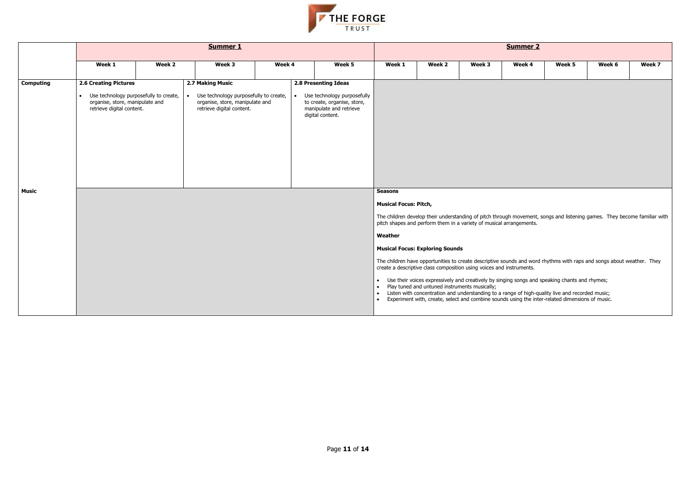

|                           |                                                                                                                                                     |        | <b>Summer 1</b>                                                                                                            |        |                                                                                                                                   |                                                                                     |                                                                                                                                                                                                                                                                                                                                                                                                                                                                                                                                                                                                                                                                                                                                                                                                      |        | <b>Summer 2</b> |        |        |        |
|---------------------------|-----------------------------------------------------------------------------------------------------------------------------------------------------|--------|----------------------------------------------------------------------------------------------------------------------------|--------|-----------------------------------------------------------------------------------------------------------------------------------|-------------------------------------------------------------------------------------|------------------------------------------------------------------------------------------------------------------------------------------------------------------------------------------------------------------------------------------------------------------------------------------------------------------------------------------------------------------------------------------------------------------------------------------------------------------------------------------------------------------------------------------------------------------------------------------------------------------------------------------------------------------------------------------------------------------------------------------------------------------------------------------------------|--------|-----------------|--------|--------|--------|
|                           | Week 1                                                                                                                                              | Week 2 | Week 3                                                                                                                     | Week 4 | Week 5                                                                                                                            | Week 1                                                                              | Week 2                                                                                                                                                                                                                                                                                                                                                                                                                                                                                                                                                                                                                                                                                                                                                                                               | Week 3 | Week 4          | Week 5 | Week 6 | Week 7 |
| <b>Computing</b><br>Music | <b>2.6 Creating Pictures</b><br>Use technology purposefully to create,<br>$\bullet$<br>organise, store, manipulate and<br>retrieve digital content. |        | 2.7 Making Music<br>Use technology purposefully to create,<br>organise, store, manipulate and<br>retrieve digital content. |        | 2.8 Presenting Ideas<br>Use technology purposefully<br>to create, organise, store,<br>manipulate and retrieve<br>digital content. |                                                                                     |                                                                                                                                                                                                                                                                                                                                                                                                                                                                                                                                                                                                                                                                                                                                                                                                      |        |                 |        |        |        |
|                           |                                                                                                                                                     |        |                                                                                                                            |        |                                                                                                                                   | <b>Seasons</b><br><b>Musical Focus: Pitch,</b><br>Weather<br>$\bullet$<br>$\bullet$ | The children develop their understanding of pitch through movement, songs and listening games. They become familiar with<br>pitch shapes and perform them in a variety of musical arrangements.<br><b>Musical Focus: Exploring Sounds</b><br>The children have opportunities to create descriptive sounds and word rhythms with raps and songs about weather. They<br>create a descriptive class composition using voices and instruments.<br>• Use their voices expressively and creatively by singing songs and speaking chants and rhymes;<br>Play tuned and untuned instruments musically;<br>Listen with concentration and understanding to a range of high-quality live and recorded music;<br>Experiment with, create, select and combine sounds using the inter-related dimensions of music. |        |                 |        |        |        |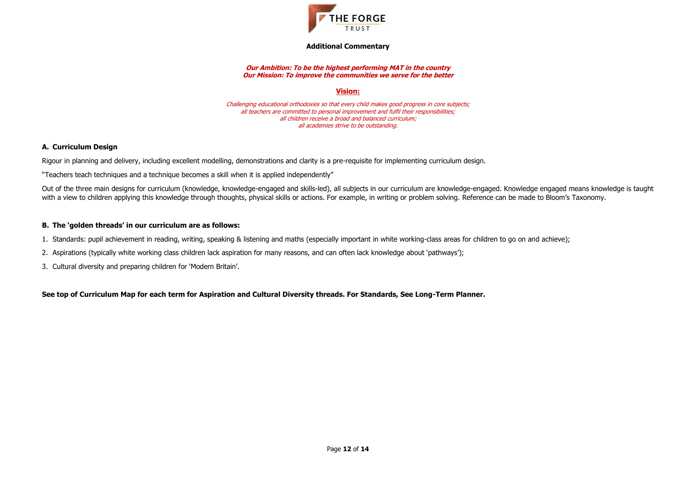

**Additional Commentary**

#### **Our Ambition: To be the highest performing MAT in the country Our Mission: To improve the communities we serve for the better**

**Vision:**

Challenging educational orthodoxies so that every child makes good progress in core subjects; all teachers are committed to personal improvement and fulfil their responsibilities; all children receive a broad and balanced curriculum; all academies strive to be outstanding.

# **A. Curriculum Design**

Rigour in planning and delivery, including excellent modelling, demonstrations and clarity is a pre-requisite for implementing curriculum design.

"Teachers teach techniques and a technique becomes a skill when it is applied independently"

Out of the three main designs for curriculum (knowledge, knowledge-engaged and skills-led), all subjects in our curriculum are knowledge-engaged. Knowledge engaged means knowledge is taught with a view to children applying this knowledge through thoughts, physical skills or actions. For example, in writing or problem solving. Reference can be made to Bloom's Taxonomy.

# **B. The 'golden threads' in our curriculum are as follows:**

- 1. Standards: pupil achievement in reading, writing, speaking & listening and maths (especially important in white working-class areas for children to go on and achieve);
- 2. Aspirations (typically white working class children lack aspiration for many reasons, and can often lack knowledge about 'pathways');
- 3. Cultural diversity and preparing children for 'Modern Britain'.

**See top of Curriculum Map for each term for Aspiration and Cultural Diversity threads. For Standards, See Long-Term Planner.**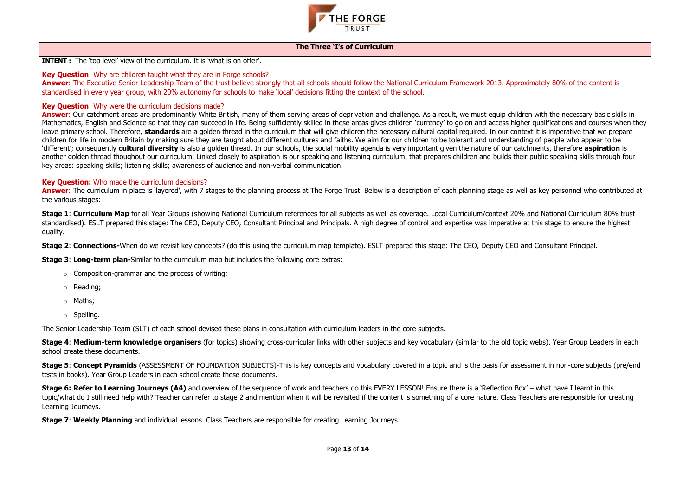

### **The Three 'I's of Curriculum**

**INTENT :** The 'top level' view of the curriculum. It is 'what is on offer'.

**Key Question:** Why are children taught what they are in Forge schools?

Answer: The Executive Senior Leadership Team of the trust believe strongly that all schools should follow the National Curriculum Framework 2013. Approximately 80% of the content is standardised in every year group, with 20% autonomy for schools to make 'local' decisions fitting the context of the school.

# **Key Question:** Why were the curriculum decisions made?

Answer: Our catchment areas are predominantly White British, many of them serving areas of deprivation and challenge. As a result, we must equip children with the necessary basic skills in Mathematics, English and Science so that they can succeed in life. Being sufficiently skilled in these areas gives children 'currency' to go on and access higher qualifications and courses when they leave primary school. Therefore, **standards** are a golden thread in the curriculum that will give children the necessary cultural capital required. In our context it is imperative that we prepare children for life in modern Britain by making sure they are taught about different cultures and faiths. We aim for our children to be tolerant and understanding of people who appear to be 'different'; consequently **cultural diversity** is also a golden thread. In our schools, the social mobility agenda is very important given the nature of our catchments, therefore **aspiration** is another golden thread thoughout our curriculum. Linked closely to aspiration is our speaking and listening curriculum, that prepares children and builds their public speaking skills through four key areas: speaking skills; listening skills; awareness of audience and non-verbal communication.

**Answer:** The curriculum in place is 'layered', with 7 stages to the planning process at The Forge Trust. Below is a description of each planning stage as well as key personnel who contributed at the various stages:

- $\circ$  Composition-grammar and the process of writing;
- o Reading;
- o Maths;
- o Spelling.

**Stage 5: Concept Pyramids** (ASSESSMENT OF FOUNDATION SUBJECTS)-This is key concepts and vocabulary covered in a topic and is the basis for assessment in non-core subjects (pre/end tests in books). Year Group Leaders in each school create these documents.

# **Key Question:** Who made the curriculum decisions?

**Stage 6: Refer to Learning Journeys (A4)** and overview of the sequence of work and teachers do this EVERY LESSON! Ensure there is a 'Reflection Box' – what have I learnt in this topic/what do I still need help with? Teacher can refer to stage 2 and mention when it will be revisited if the content is something of a core nature. Class Teachers are responsible for creating Learning Journeys.

**Stage 1**: **Curriculum Map** for all Year Groups (showing National Curriculum references for all subjects as well as coverage. Local Curriculum/context 20% and National Curriculum 80% trust standardised). ESLT prepared this stage: The CEO, Deputy CEO, Consultant Principal and Principals. A high degree of control and expertise was imperative at this stage to ensure the highest quality.

**Stage 2**: **Connections-**When do we revisit key concepts? (do this using the curriculum map template). ESLT prepared this stage: The CEO, Deputy CEO and Consultant Principal.

**Stage 3**: **Long-term plan-**Similar to the curriculum map but includes the following core extras:

The Senior Leadership Team (SLT) of each school devised these plans in consultation with curriculum leaders in the core subjects.

**Stage 4**: **Medium-term knowledge organisers** (for topics) showing cross-curricular links with other subjects and key vocabulary (similar to the old topic webs). Year Group Leaders in each school create these documents.

**Stage 7**: **Weekly Planning** and individual lessons. Class Teachers are responsible for creating Learning Journeys.